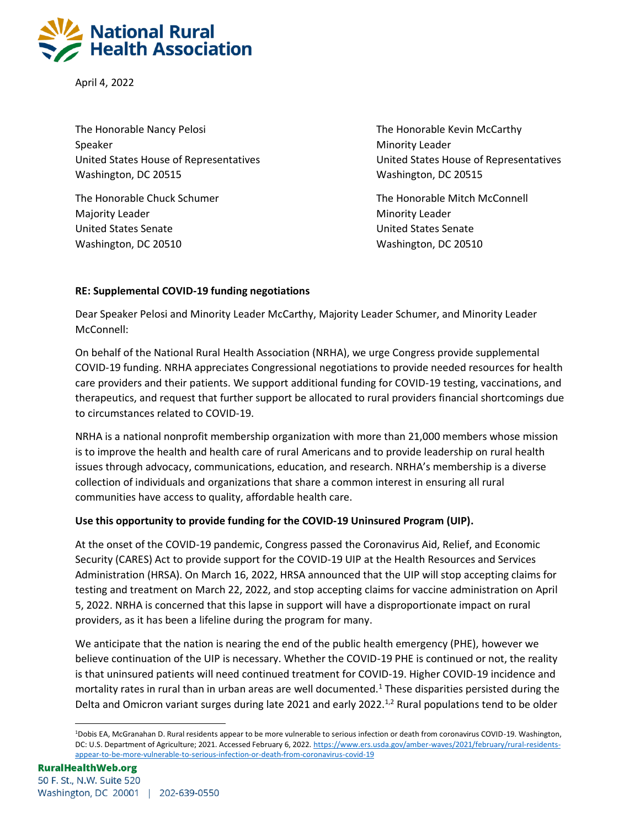

April 4, 2022

The Honorable Nancy Pelosi **The Honorable Kevin McCarthy** Speaker Minority Leader Monet Communications and the Minority Leader Minority Leader United States House of Representatives United States House of Representatives Washington, DC 20515 Washington, DC 20515

Majority Leader **Minority Leader** Minority Leader United States Senate United States Senate Washington, DC 20510 Washington, DC 20510

The Honorable Chuck Schumer The Honorable Mitch McConnell

## **RE: Supplemental COVID-19 funding negotiations**

Dear Speaker Pelosi and Minority Leader McCarthy, Majority Leader Schumer, and Minority Leader McConnell:

On behalf of the National Rural Health Association (NRHA), we urge Congress provide supplemental COVID-19 funding. NRHA appreciates Congressional negotiations to provide needed resources for health care providers and their patients. We support additional funding for COVID-19 testing, vaccinations, and therapeutics, and request that further support be allocated to rural providers financial shortcomings due to circumstances related to COVID-19.

NRHA is a national nonprofit membership organization with more than 21,000 members whose mission is to improve the health and health care of rural Americans and to provide leadership on rural health issues through advocacy, communications, education, and research. NRHA's membership is a diverse collection of individuals and organizations that share a common interest in ensuring all rural communities have access to quality, affordable health care.

## **Use this opportunity to provide funding for the COVID-19 Uninsured Program (UIP).**

At the onset of the COVID-19 pandemic, Congress passed the Coronavirus Aid, Relief, and Economic Security (CARES) Act to provide support for the COVID-19 UIP at the Health Resources and Services Administration (HRSA). On March 16, 2022, HRSA announced that the UIP will stop accepting claims for testing and treatment on March 22, 2022, and stop accepting claims for vaccine administration on April 5, 2022. NRHA is concerned that this lapse in support will have a disproportionate impact on rural providers, as it has been a lifeline during the program for many.

We anticipate that the nation is nearing the end of the public health emergency (PHE), however we believe continuation of the UIP is necessary. Whether the COVID-19 PHE is continued or not, the reality is that uninsured patients will need continued treatment for COVID-19. Higher COVID-19 incidence and mortality rates in rural than in urban areas are well documented.<sup>1</sup> These disparities persisted during the Delta and Omicron variant surges during late 2021 and early 2022.<sup>1,2</sup> Rural populations tend to be older

<sup>1</sup>Dobis EA, McGranahan D. Rural residents appear to be more vulnerable to serious infection or death from coronavirus COVID-19. Washington, DC: U.S. Department of Agriculture; 2021. Accessed February 6, 2022. [https://www.ers.usda.gov/amber-waves/2021/february/rural-residents](https://www.ers.usda.gov/amber-waves/2021/february/rural-residents-appear-to-be-more-vulnerable-to-serious-infection-or-death-from-coronavirus-covid-19)[appear-to-be-more-vulnerable-to-serious-infection-or-death-from-coronavirus-covid-19](https://www.ers.usda.gov/amber-waves/2021/february/rural-residents-appear-to-be-more-vulnerable-to-serious-infection-or-death-from-coronavirus-covid-19)